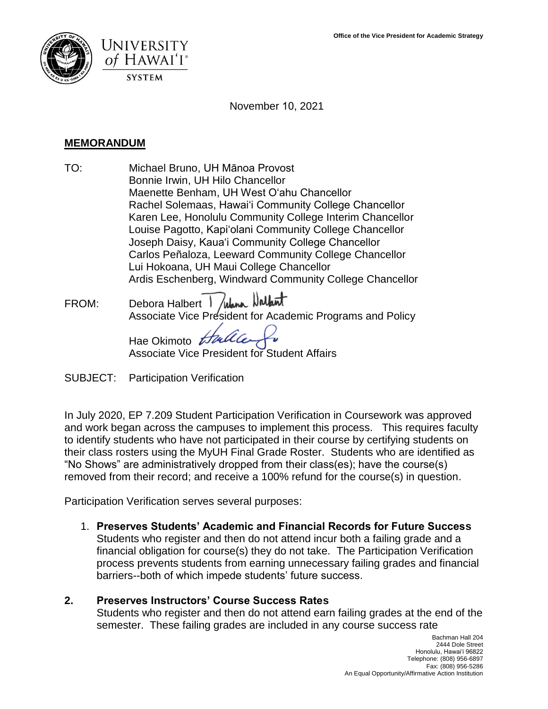



November 10, 2021

#### **MEMORANDUM**

- TO: Michael Bruno, UH Mānoa Provost Bonnie Irwin, UH Hilo Chancellor Maenette Benham, UH West Oʻahu Chancellor Rachel Solemaas, Hawaiʻi Community College Chancellor Karen Lee, Honolulu Community College Interim Chancellor Louise Pagotto, Kapiʻolani Community College Chancellor Joseph Daisy, Kauaʻi Community College Chancellor Carlos Peñaloza, Leeward Community College Chancellor Lui Hokoana, UH Maui College Chancellor Ardis Eschenberg, Windward Community College Chancellor
- FROM: Debora Halbert *I lulana* Nathant Associate Vice President for Academic Programs and Policy

Hae Okimoto the Associate Vice President for Student Affairs

SUBJECT: Participation Verification

 removed from their record; and receive a 100% refund for the course(s) in question. In July 2020, EP 7.209 Student Participation Verification in Coursework was approved and work began across the campuses to implement this process. This requires faculty to identify students who have not participated in their course by certifying students on their class rosters using the MyUH Final Grade Roster. Students who are identified as "No Shows" are administratively dropped from their class(es); have the course(s)

Participation Verification serves several purposes:

 Students who register and then do not attend incur both a failing grade and a 1. **Preserves Students' Academic and Financial Records for Future Success**  financial obligation for course(s) they do not take. The Participation Verification process prevents students from earning unnecessary failing grades and financial barriers--both of which impede students' future success.

#### **2. Preserves Instructors' Course Success Rates**  Students who register and then do not attend earn failing grades at the end of the semester. These failing grades are included in any course success rate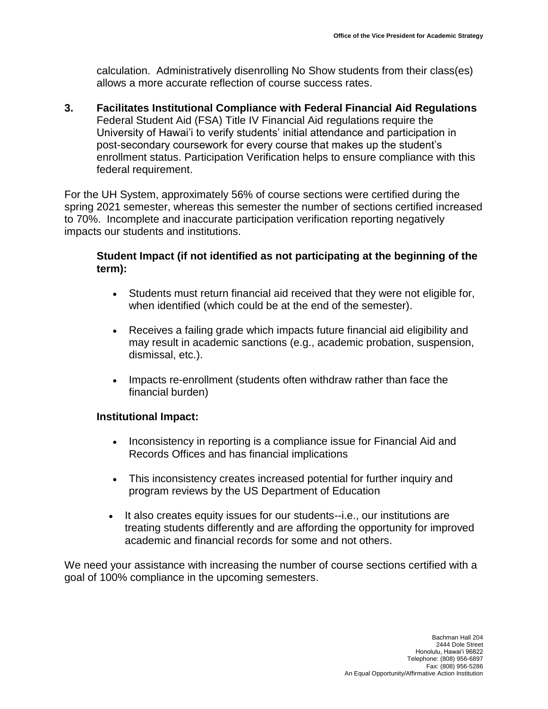calculation. Administratively disenrolling No Show students from their class(es) allows a more accurate reflection of course success rates.

**3. Facilitates Institutional Compliance with Federal Financial Aid Regulations**  Federal Student Aid (FSA) Title IV Financial Aid regulations require the University of Hawai'i to verify students' initial attendance and participation in post-secondary coursework for every course that makes up the student's enrollment status. Participation Verification helps to ensure compliance with this federal requirement.

For the UH System, approximately 56% of course sections were certified during the spring 2021 semester, whereas this semester the number of sections certified increased to 70%. Incomplete and inaccurate participation verification reporting negatively impacts our students and institutions.

## **Student Impact (if not identified as not participating at the beginning of the term):**

- Students must return financial aid received that they were not eligible for, when identified (which could be at the end of the semester).
- Receives a failing grade which impacts future financial aid eligibility and may result in academic sanctions (e.g., academic probation, suspension, dismissal, etc.).
- • Impacts re-enrollment (students often withdraw rather than face the financial burden)

#### **Institutional Impact:**

- Inconsistency in reporting is a compliance issue for Financial Aid and Records Offices and has financial implications
- This inconsistency creates increased potential for further inquiry and program reviews by the US Department of Education
- treating students differently and are affording the opportunity for improved academic and financial records for some and not others. • It also creates equity issues for our students--i.e., our institutions are

We need your assistance with increasing the number of course sections certified with a goal of 100% compliance in the upcoming semesters.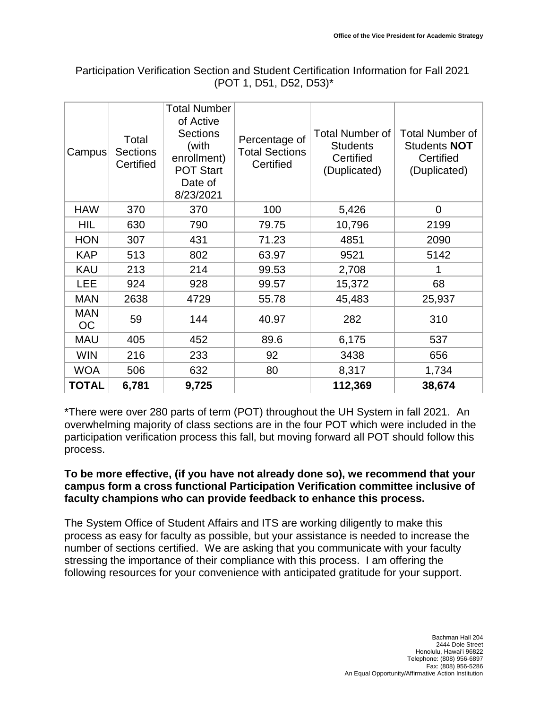| Campus           | Total<br><b>Sections</b><br>Certified | <b>Total Number</b><br>of Active<br><b>Sections</b><br>(with<br>enrollment)<br><b>POT Start</b><br>Date of<br>8/23/2021 | Percentage of<br><b>Total Sections</b><br>Certified | <b>Total Number of</b><br><b>Students</b><br>Certified<br>(Duplicated) | <b>Total Number of</b><br><b>Students NOT</b><br>Certified<br>(Duplicated) |
|------------------|---------------------------------------|-------------------------------------------------------------------------------------------------------------------------|-----------------------------------------------------|------------------------------------------------------------------------|----------------------------------------------------------------------------|
| <b>HAW</b>       | 370                                   | 370                                                                                                                     | 100                                                 | 5,426                                                                  | $\mathbf 0$                                                                |
| HIL              | 630                                   | 790                                                                                                                     | 79.75                                               | 10,796                                                                 | 2199                                                                       |
| <b>HON</b>       | 307                                   | 431                                                                                                                     | 71.23                                               | 4851                                                                   | 2090                                                                       |
| <b>KAP</b>       | 513                                   | 802                                                                                                                     | 63.97                                               | 9521                                                                   | 5142                                                                       |
| <b>KAU</b>       | 213                                   | 214                                                                                                                     | 99.53                                               | 2,708                                                                  |                                                                            |
| <b>LEE</b>       | 924                                   | 928                                                                                                                     | 99.57                                               | 15,372                                                                 | 68                                                                         |
| <b>MAN</b>       | 2638                                  | 4729                                                                                                                    | 55.78                                               | 45,483                                                                 | 25,937                                                                     |
| <b>MAN</b><br>OС | 59                                    | 144                                                                                                                     | 40.97                                               | 282                                                                    | 310                                                                        |
| <b>MAU</b>       | 405                                   | 452                                                                                                                     | 89.6                                                | 6,175                                                                  | 537                                                                        |
| <b>WIN</b>       | 216                                   | 233                                                                                                                     | 92                                                  | 3438                                                                   | 656                                                                        |
| <b>WOA</b>       | 506                                   | 632                                                                                                                     | 80                                                  | 8,317                                                                  | 1,734                                                                      |
| <b>TOTAL</b>     | 6,781                                 | 9,725                                                                                                                   |                                                     | 112,369                                                                | 38,674                                                                     |

## Participation Verification Section and Student Certification Information for Fall 2021 (POT 1, D51, D52, D53)\*

\*There were over 280 parts of term (POT) throughout the UH System in fall 2021. An overwhelming majority of class sections are in the four POT which were included in the participation verification process this fall, but moving forward all POT should follow this process.

## **To be more effective, (if you have not already done so), we recommend that your campus form a cross functional Participation Verification committee inclusive of faculty champions who can provide feedback to enhance this process.**

 number of sections certified. We are asking that you communicate with your faculty The System Office of Student Affairs and ITS are working diligently to make this process as easy for faculty as possible, but your assistance is needed to increase the stressing the importance of their compliance with this process. I am offering the following resources for your convenience with anticipated gratitude for your support.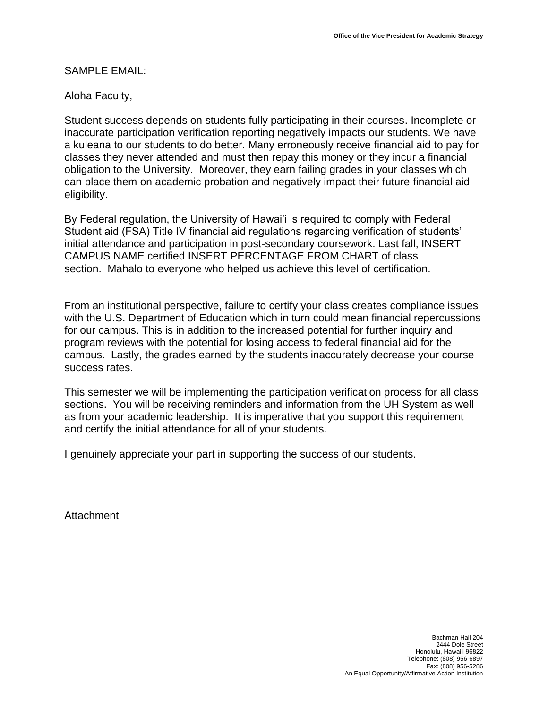#### SAMPLE EMAIL:

#### Aloha Faculty,

 inaccurate participation verification reporting negatively impacts our students. We have a kuleana to our students to do better. Many erroneously receive financial aid to pay for Student success depends on students fully participating in their courses. Incomplete or classes they never attended and must then repay this money or they incur a financial obligation to the University. Moreover, they earn failing grades in your classes which can place them on academic probation and negatively impact their future financial aid eligibility.

By Federal regulation, the University of Hawai'i is required to comply with Federal Student aid (FSA) Title IV financial aid regulations regarding verification of students' initial attendance and participation in post-secondary coursework. Last fall, INSERT CAMPUS NAME certified INSERT PERCENTAGE FROM CHART of class section. Mahalo to everyone who helped us achieve this level of certification.

 for our campus. This is in addition to the increased potential for further inquiry and program reviews with the potential for losing access to federal financial aid for the From an institutional perspective, failure to certify your class creates compliance issues with the U.S. Department of Education which in turn could mean financial repercussions campus. Lastly, the grades earned by the students inaccurately decrease your course success rates.

 sections. You will be receiving reminders and information from the UH System as well and certify the initial attendance for all of your students. This semester we will be implementing the participation verification process for all class as from your academic leadership. It is imperative that you support this requirement

I genuinely appreciate your part in supporting the success of our students.

Attachment